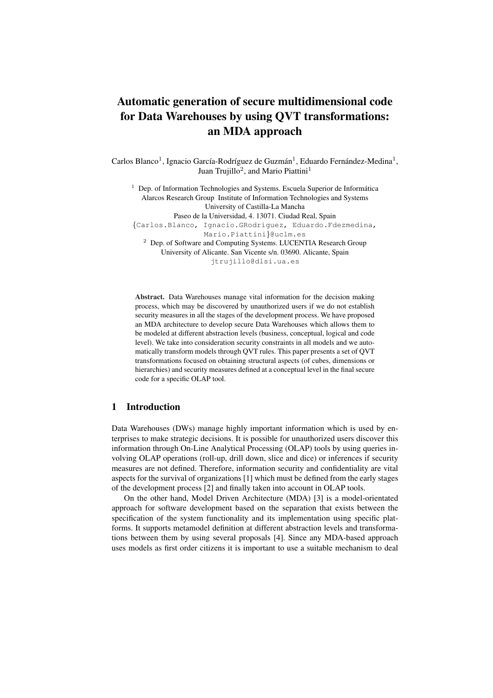# Automatic generation of secure multidimensional code for Data Warehouses by using QVT transformations: an MDA approach

Carlos Blanco<sup>1</sup>, Ignacio García-Rodríguez de Guzmán<sup>1</sup>, Eduardo Fernández-Medina<sup>1</sup>, Juan Trujillo<sup>2</sup>, and Mario Piattini<sup>1</sup>

 $1$  Dep. of Information Technologies and Systems. Escuela Superior de Informática Alarcos Research Group Institute of Information Technologies and Systems University of Castilla-La Mancha Paseo de la Universidad, 4. 13071. Ciudad Real, Spain {Carlos.Blanco, Ignacio.GRodriguez, Eduardo.Fdezmedina, Mario.Piattini}@uclm.es <sup>2</sup> Dep. of Software and Computing Systems. LUCENTIA Research Group University of Alicante. San Vicente s/n. 03690. Alicante, Spain jtrujillo@dlsi.ua.es

Abstract. Data Warehouses manage vital information for the decision making process, which may be discovered by unauthorized users if we do not establish security measures in all the stages of the development process. We have proposed an MDA architecture to develop secure Data Warehouses which allows them to be modeled at different abstraction levels (business, conceptual, logical and code level). We take into consideration security constraints in all models and we automatically transform models through QVT rules. This paper presents a set of QVT transformations focused on obtaining structural aspects (of cubes, dimensions or hierarchies) and security measures defined at a conceptual level in the final secure code for a specific OLAP tool.

## 1 Introduction

Data Warehouses (DWs) manage highly important information which is used by enterprises to make strategic decisions. It is possible for unauthorized users discover this information through On-Line Analytical Processing (OLAP) tools by using queries involving OLAP operations (roll-up, drill down, slice and dice) or inferences if security measures are not defined. Therefore, information security and confidentiality are vital aspects for the survival of organizations [1] which must be defined from the early stages of the development process [2] and finally taken into account in OLAP tools.

On the other hand, Model Driven Architecture (MDA) [3] is a model-orientated approach for software development based on the separation that exists between the specification of the system functionality and its implementation using specific platforms. It supports metamodel definition at different abstraction levels and transformations between them by using several proposals [4]. Since any MDA-based approach uses models as first order citizens it is important to use a suitable mechanism to deal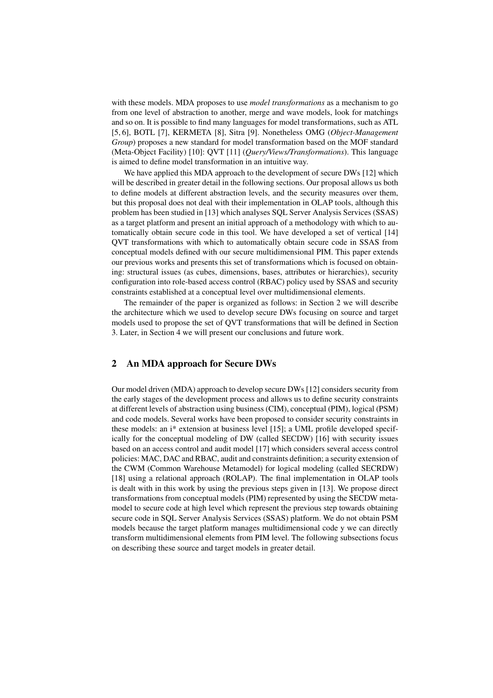with these models. MDA proposes to use *model transformations* as a mechanism to go from one level of abstraction to another, merge and wave models, look for matchings and so on. It is possible to find many languages for model transformations, such as ATL [5, 6], BOTL [7], KERMETA [8], Sitra [9]. Nonetheless OMG (*Object-Management Group*) proposes a new standard for model transformation based on the MOF standard (Meta-Object Facility) [10]: QVT [11] (*Query/Views/Transformations*). This language is aimed to define model transformation in an intuitive way.

We have applied this MDA approach to the development of secure DWs [12] which will be described in greater detail in the following sections. Our proposal allows us both to define models at different abstraction levels, and the security measures over them, but this proposal does not deal with their implementation in OLAP tools, although this problem has been studied in [13] which analyses SQL Server Analysis Services (SSAS) as a target platform and present an initial approach of a methodology with which to automatically obtain secure code in this tool. We have developed a set of vertical [14] QVT transformations with which to automatically obtain secure code in SSAS from conceptual models defined with our secure multidimensional PIM. This paper extends our previous works and presents this set of transformations which is focused on obtaining: structural issues (as cubes, dimensions, bases, attributes or hierarchies), security configuration into role-based access control (RBAC) policy used by SSAS and security constraints established at a conceptual level over multidimensional elements.

The remainder of the paper is organized as follows: in Section 2 we will describe the architecture which we used to develop secure DWs focusing on source and target models used to propose the set of QVT transformations that will be defined in Section 3. Later, in Section 4 we will present our conclusions and future work.

## 2 An MDA approach for Secure DWs

Our model driven (MDA) approach to develop secure DWs [12] considers security from the early stages of the development process and allows us to define security constraints at different levels of abstraction using business (CIM), conceptual (PIM), logical (PSM) and code models. Several works have been proposed to consider security constraints in these models: an i\* extension at business level [15]; a UML profile developed specifically for the conceptual modeling of DW (called SECDW) [16] with security issues based on an access control and audit model [17] which considers several access control policies: MAC, DAC and RBAC, audit and constraints definition; a security extension of the CWM (Common Warehouse Metamodel) for logical modeling (called SECRDW) [18] using a relational approach (ROLAP). The final implementation in OLAP tools is dealt with in this work by using the previous steps given in [13]. We propose direct transformations from conceptual models (PIM) represented by using the SECDW metamodel to secure code at high level which represent the previous step towards obtaining secure code in SQL Server Analysis Services (SSAS) platform. We do not obtain PSM models because the target platform manages multidimensional code y we can directly transform multidimensional elements from PIM level. The following subsections focus on describing these source and target models in greater detail.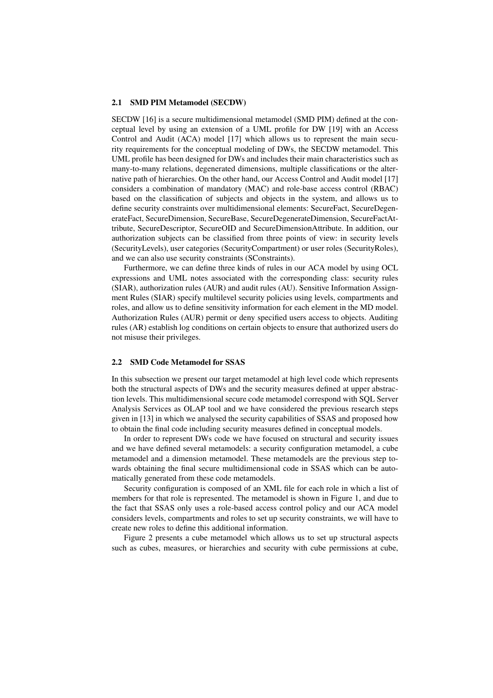#### 2.1 SMD PIM Metamodel (SECDW)

SECDW [16] is a secure multidimensional metamodel (SMD PIM) defined at the conceptual level by using an extension of a UML profile for DW [19] with an Access Control and Audit (ACA) model [17] which allows us to represent the main security requirements for the conceptual modeling of DWs, the SECDW metamodel. This UML profile has been designed for DWs and includes their main characteristics such as many-to-many relations, degenerated dimensions, multiple classifications or the alternative path of hierarchies. On the other hand, our Access Control and Audit model [17] considers a combination of mandatory (MAC) and role-base access control (RBAC) based on the classification of subjects and objects in the system, and allows us to define security constraints over multidimensional elements: SecureFact, SecureDegenerateFact, SecureDimension, SecureBase, SecureDegenerateDimension, SecureFactAttribute, SecureDescriptor, SecureOID and SecureDimensionAttribute. In addition, our authorization subjects can be classified from three points of view: in security levels (SecurityLevels), user categories (SecurityCompartment) or user roles (SecurityRoles), and we can also use security constraints (SConstraints).

Furthermore, we can define three kinds of rules in our ACA model by using OCL expressions and UML notes associated with the corresponding class: security rules (SIAR), authorization rules (AUR) and audit rules (AU). Sensitive Information Assignment Rules (SIAR) specify multilevel security policies using levels, compartments and roles, and allow us to define sensitivity information for each element in the MD model. Authorization Rules (AUR) permit or deny specified users access to objects. Auditing rules (AR) establish log conditions on certain objects to ensure that authorized users do not misuse their privileges.

#### 2.2 SMD Code Metamodel for SSAS

In this subsection we present our target metamodel at high level code which represents both the structural aspects of DWs and the security measures defined at upper abstraction levels. This multidimensional secure code metamodel correspond with SQL Server Analysis Services as OLAP tool and we have considered the previous research steps given in [13] in which we analysed the security capabilities of SSAS and proposed how to obtain the final code including security measures defined in conceptual models.

In order to represent DWs code we have focused on structural and security issues and we have defined several metamodels: a security configuration metamodel, a cube metamodel and a dimension metamodel. These metamodels are the previous step towards obtaining the final secure multidimensional code in SSAS which can be automatically generated from these code metamodels.

Security configuration is composed of an XML file for each role in which a list of members for that role is represented. The metamodel is shown in Figure 1, and due to the fact that SSAS only uses a role-based access control policy and our ACA model considers levels, compartments and roles to set up security constraints, we will have to create new roles to define this additional information.

Figure 2 presents a cube metamodel which allows us to set up structural aspects such as cubes, measures, or hierarchies and security with cube permissions at cube,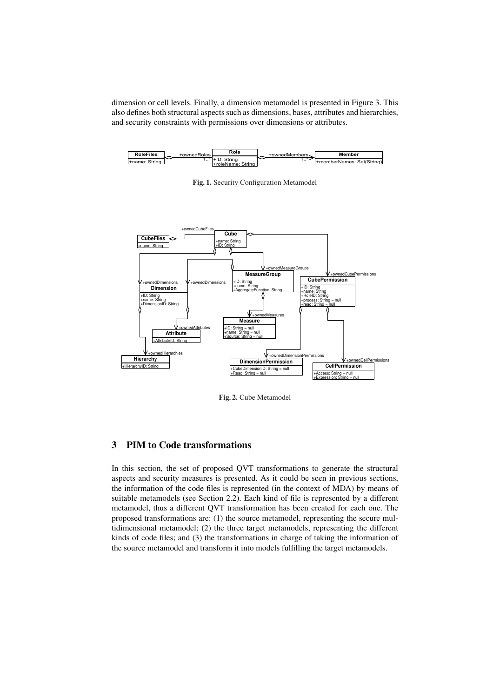dimension or cell levels. Finally, a dimension metamodel is presented in Figure 3. This also defines both structural aspects such as dimensions, bases, attributes and hierarchies, and security constraints with permissions over dimensions or attributes.



Fig. 1. Security Configuration Metamodel



Fig. 2. Cube Metamodel

# 3 PIM to Code transformations

In this section, the set of proposed QVT transformations to generate the structural aspects and security measures is presented. As it could be seen in previous sections, the information of the code files is represented (in the context of MDA) by means of suitable metamodels (see Section 2.2). Each kind of file is represented by a different metamodel, thus a different QVT transformation has been created for each one. The proposed transformations are: (1) the source metamodel, representing the secure multidimensional metamodel; (2) the three target metamodels, representing the different kinds of code files; and (3) the transformations in charge of taking the information of the source metamodel and transform it into models fulfilling the target metamodels.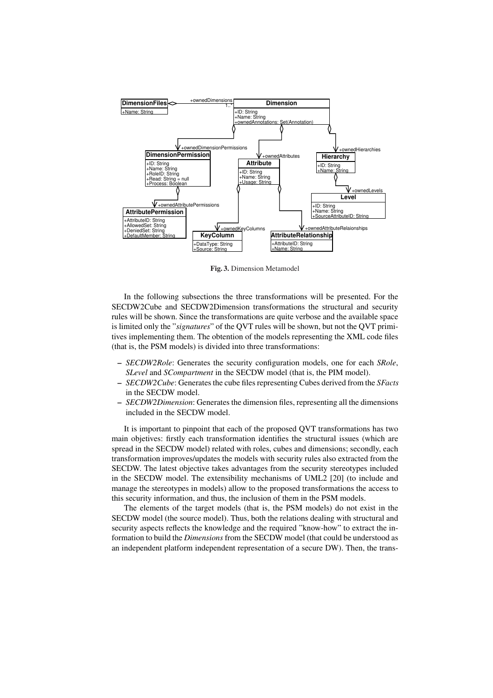

Fig. 3. Dimension Metamodel

In the following subsections the three transformations will be presented. For the SECDW2Cube and SECDW2Dimension transformations the structural and security rules will be shown. Since the transformations are quite verbose and the available space is limited only the "*signatures*" of the QVT rules will be shown, but not the QVT primitives implementing them. The obtention of the models representing the XML code files (that is, the PSM models) is divided into three transformations:

- *SECDW2Role*: Generates the security configuration models, one for each *SRole*, *SLevel* and *SCompartment* in the SECDW model (that is, the PIM model).
- *SECDW2Cube*: Generates the cube files representing Cubes derived from the *SFacts* in the SECDW model.
- *SECDW2Dimension*: Generates the dimension files, representing all the dimensions included in the SECDW model.

It is important to pinpoint that each of the proposed QVT transformations has two main objetives: firstly each transformation identifies the structural issues (which are spread in the SECDW model) related with roles, cubes and dimensions; secondly, each transformation improves/updates the models with security rules also extracted from the SECDW. The latest objective takes advantages from the security stereotypes included in the SECDW model. The extensibility mechanisms of UML2 [20] (to include and manage the stereotypes in models) allow to the proposed transformations the access to this security information, and thus, the inclusion of them in the PSM models.

The elements of the target models (that is, the PSM models) do not exist in the SECDW model (the source model). Thus, both the relations dealing with structural and security aspects reflects the knowledge and the required "know-how" to extract the information to build the *Dimensions* from the SECDW model (that could be understood as an independent platform independent representation of a secure DW). Then, the trans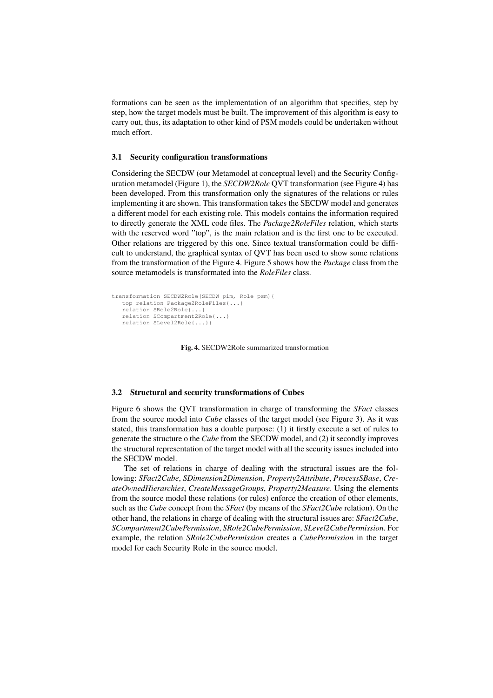formations can be seen as the implementation of an algorithm that specifies, step by step, how the target models must be built. The improvement of this algorithm is easy to carry out, thus, its adaptation to other kind of PSM models could be undertaken without much effort.

#### 3.1 Security configuration transformations

Considering the SECDW (our Metamodel at conceptual level) and the Security Configuration metamodel (Figure 1), the *SECDW2Role* QVT transformation (see Figure 4) has been developed. From this transformation only the signatures of the relations or rules implementing it are shown. This transformation takes the SECDW model and generates a different model for each existing role. This models contains the information required to directly generate the XML code files. The *Package2RoleFiles* relation, which starts with the reserved word "top", is the main relation and is the first one to be executed. Other relations are triggered by this one. Since textual transformation could be difficult to understand, the graphical syntax of QVT has been used to show some relations from the transformation of the Figure 4. Figure 5 shows how the *Package* class from the source metamodels is transformated into the *RoleFiles* class.

```
transformation SECDW2Role(SECDW pim, Role psm){
  top relation Package2RoleFiles{...}
  relation SRole2Role{...}
  relation SCompartment2Role{...}
  relation SLevel2Role{...}}
```
Fig. 4. SECDW2Role summarized transformation

#### 3.2 Structural and security transformations of Cubes

Figure 6 shows the QVT transformation in charge of transforming the *SFact* classes from the source model into *Cube* classes of the target model (see Figure 3). As it was stated, this transformation has a double purpose: (1) it firstly execute a set of rules to generate the structure o the *Cube* from the SECDW model, and (2) it secondly improves the structural representation of the target model with all the security issues included into the SECDW model.

The set of relations in charge of dealing with the structural issues are the following: *SFact2Cube*, *SDimension2Dimension*, *Property2Attribute*, *ProcessSBase*, *CreateOwnedHierarchies*, *CreateMessageGroups*, *Property2Measure*. Using the elements from the source model these relations (or rules) enforce the creation of other elements, such as the *Cube* concept from the *SFact* (by means of the *SFact2Cube* relation). On the other hand, the relations in charge of dealing with the structural issues are: *SFact2Cube*, *SCompartment2CubePermission*, *SRole2CubePermission*, *SLevel2CubePermission*. For example, the relation *SRole2CubePermission* creates a *CubePermission* in the target model for each Security Role in the source model.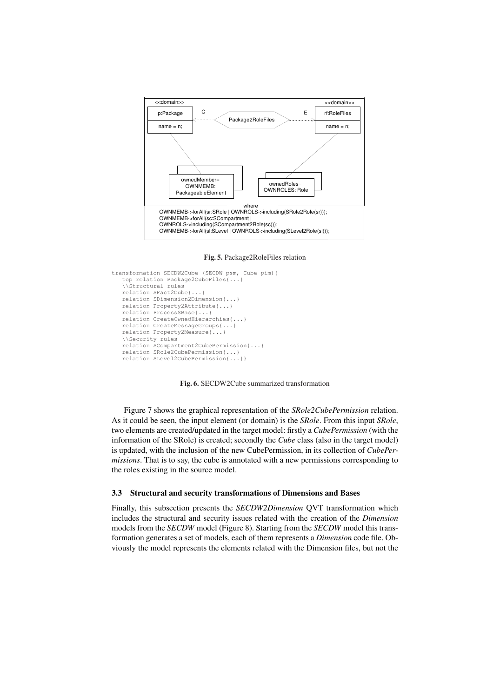

Fig. 5. Package2RoleFiles relation

```
transformation SECDW2Cube (SECDW psm, Cube pim){
   top relation Package2CubeFiles{...}
   \\Structural rules
   relation SFact2Cube{...}
   relation SDimension2Dimension{...}
   relation Property2Attribute{...}
   relation ProcessSBase{...}
   relation CreateOwnedHierarchies{...}
   relation CreateMessageGroups{...}
   relation Property2Measure{...}
   \\Security rules
   relation SCompartment2CubePermission{...}
relation SRole2CubePermission{...}
   relation SLevel2CubePermission{...}}
```
Fig. 6. SECDW2Cube summarized transformation

Figure 7 shows the graphical representation of the *SRole2CubePermission* relation. As it could be seen, the input element (or domain) is the *SRole*. From this input *SRole*, two elements are created/updated in the target model: firstly a *CubePermission* (with the information of the SRole) is created; secondly the *Cube* class (also in the target model) is updated, with the inclusion of the new CubePermission, in its collection of *CubePermissions*. That is to say, the cube is annotated with a new permissions corresponding to the roles existing in the source model.

#### 3.3 Structural and security transformations of Dimensions and Bases

Finally, this subsection presents the *SECDW2Dimension* QVT transformation which includes the structural and security issues related with the creation of the *Dimension* models from the *SECDW* model (Figure 8). Starting from the *SECDW* model this transformation generates a set of models, each of them represents a *Dimension* code file. Obviously the model represents the elements related with the Dimension files, but not the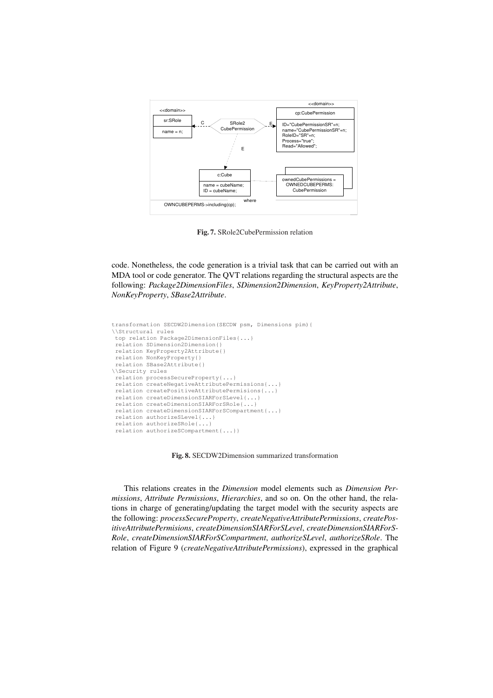

Fig. 7. SRole2CubePermission relation

code. Nonetheless, the code generation is a trivial task that can be carried out with an MDA tool or code generator. The QVT relations regarding the structural aspects are the following: *Package2DimensionFiles*, *SDimension2Dimension*, *KeyProperty2Attribute*, *NonKeyProperty*, *SBase2Attribute*.

```
transformation SECDW2Dimension(SECDW psm, Dimensions pim){
\\Structural rules
top relation Package2DimensionFiles{...}
relation SDimension2Dimension{}
relation KeyProperty2Attribute{}
relation NonKeyProperty{}
 relation SBase2Attribute{}
\\Security rules
 relation processSecureProperty{...}
relation createNegativeAttributePermissions{...}
relation createPositiveAttributePermisions{...}
relation createDimensionSIARForSLevel{...}
relation createDimensionSIARForSRole{...}
relation createDimensionSIARForSCompartment{...}
relation authorizeSLevel{...}
relation authorizeSRole{...}
relation authorizeSCompartment{...}}
```
Fig. 8. SECDW2Dimension summarized transformation

This relations creates in the *Dimension* model elements such as *Dimension Permissions*, *Attribute Permissions*, *Hierarchies*, and so on. On the other hand, the relations in charge of generating/updating the target model with the security aspects are the following: *processSecureProperty*, *createNegativeAttributePermissions*, *createPositiveAttributePermisions*, *createDimensionSIARForSLevel*, *createDimensionSIARForS-Role*, *createDimensionSIARForSCompartment*, *authorizeSLevel*, *authorizeSRole*. The relation of Figure 9 (*createNegativeAttributePermissions*), expressed in the graphical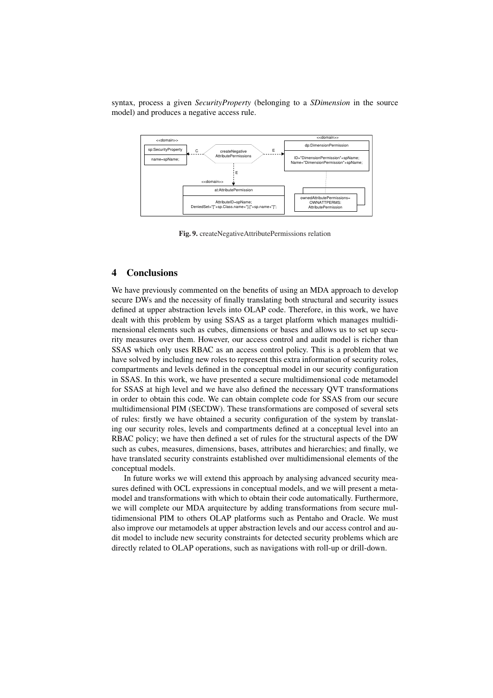syntax, process a given *SecurityProperty* (belonging to a *SDimension* in the source model) and produces a negative access rule.



Fig. 9. createNegativeAttributePermissions relation

## 4 Conclusions

We have previously commented on the benefits of using an MDA approach to develop secure DWs and the necessity of finally translating both structural and security issues defined at upper abstraction levels into OLAP code. Therefore, in this work, we have dealt with this problem by using SSAS as a target platform which manages multidimensional elements such as cubes, dimensions or bases and allows us to set up security measures over them. However, our access control and audit model is richer than SSAS which only uses RBAC as an access control policy. This is a problem that we have solved by including new roles to represent this extra information of security roles, compartments and levels defined in the conceptual model in our security configuration in SSAS. In this work, we have presented a secure multidimensional code metamodel for SSAS at high level and we have also defined the necessary QVT transformations in order to obtain this code. We can obtain complete code for SSAS from our secure multidimensional PIM (SECDW). These transformations are composed of several sets of rules: firstly we have obtained a security configuration of the system by translating our security roles, levels and compartments defined at a conceptual level into an RBAC policy; we have then defined a set of rules for the structural aspects of the DW such as cubes, measures, dimensions, bases, attributes and hierarchies; and finally, we have translated security constraints established over multidimensional elements of the conceptual models.

In future works we will extend this approach by analysing advanced security measures defined with OCL expressions in conceptual models, and we will present a metamodel and transformations with which to obtain their code automatically. Furthermore, we will complete our MDA arquitecture by adding transformations from secure multidimensional PIM to others OLAP platforms such as Pentaho and Oracle. We must also improve our metamodels at upper abstraction levels and our access control and audit model to include new security constraints for detected security problems which are directly related to OLAP operations, such as navigations with roll-up or drill-down.